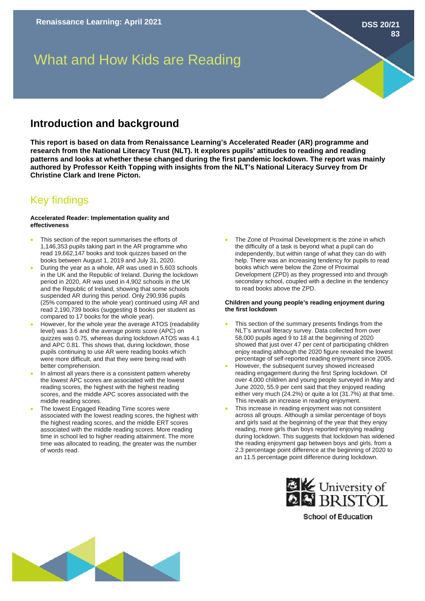**DSS 20/21**

**83**

# What and How Kids are Reading

### **Introduction and background**

**This report is based on data from Renaissance Learning's Accelerated Reader (AR) programme and research from the National Literacy Trust (NLT). It explores pupils' attitudes to reading and reading patterns and looks at whether these changed during the first pandemic lockdown. The report was mainly authored by Professor Keith Topping with insights from the NLT's National Literacy Survey from Dr Christine Clark and Irene Picton.** 

## Key findings

#### **Accelerated Reader: Implementation quality and effectiveness**

- This section of the report summarises the efforts of 1,146,353 pupils taking part in the AR programme who read 19,662,147 books and took quizzes based on the books between August 1, 2019 and July 31, 2020.
- During the year as a whole, AR was used in 5,603 schools in the UK and the Republic of Ireland. During the lockdown period in 2020, AR was used in 4,902 schools in the UK and the Republic of Ireland, showing that some schools suspended AR during this period. Only 290,936 pupils (25% compared to the whole year) continued using AR and read 2,190,739 books (suggesting 8 books per student as compared to 17 books for the whole year).
- However, for the whole year the average ATOS (readability level) was 3.6 and the average points score (APC) on quizzes was 0.75, whereas during lockdown ATOS was 4.1 and APC 0.81. This shows that, during lockdown, those pupils continuing to use AR were reading books which were more difficult, and that they were being read with better comprehension.
- In almost all years there is a consistent pattern whereby the lowest APC scores are associated with the lowest reading scores, the highest with the highest reading scores, and the middle APC scores associated with the middle reading scores.
- The lowest Engaged Reading Time scores were associated with the lowest reading scores, the highest with the highest reading scores, and the middle ERT scores associated with the middle reading scores. More reading time in school led to higher reading attainment. The more time was allocated to reading, the greater was the number of words read.

The Zone of Proximal Development is the zone in which the difficulty of a task is beyond what a pupil can do independently, but within range of what they can do with help. There was an increasing tendency for pupils to read books which were below the Zone of Proximal Development (ZPD) as they progressed into and through secondary school, coupled with a decline in the tendency to read books above the ZPD.

#### **Children and young people's reading enjoyment during the first lockdown**

- This section of the summary presents findings from the NLT's annual literacy survey. Data collected from over 58,000 pupils aged 9 to 18 at the beginning of 2020 showed that just over 47 per cent of participating children enjoy reading although the 2020 figure revealed the lowest percentage of self-reported reading enjoyment since 2005.
- However, the subsequent survey showed increased reading engagement during the first Spring lockdown. Of over 4,000 children and young people surveyed in May and June 2020, 55.9 per cent said that they enjoyed reading either very much (24.2%) or quite a lot (31.7%) at that time. This reveals an increase in reading enjoyment.
- This increase in reading enjoyment was not consistent across all groups. Although a similar percentage of boys and girls said at the beginning of the year that they enjoy reading, more girls than boys reported enjoying reading during lockdown. This suggests that lockdown has widened the reading enjoyment gap between boys and girls, from a 2.3 percentage point difference at the beginning of 2020 to an 11.5 percentage point difference during lockdown.



**School of Education**